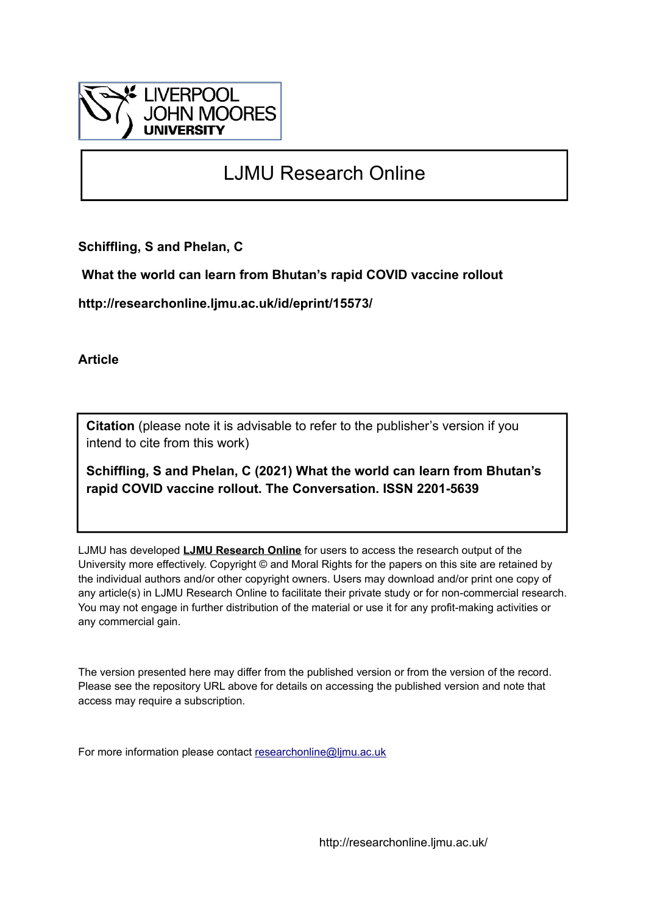

# LJMU Research Online

**Schiffling, S and Phelan, C**

 **What the world can learn from Bhutan's rapid COVID vaccine rollout**

**http://researchonline.ljmu.ac.uk/id/eprint/15573/**

**Article**

**Citation** (please note it is advisable to refer to the publisher's version if you intend to cite from this work)

**Schiffling, S and Phelan, C (2021) What the world can learn from Bhutan's rapid COVID vaccine rollout. The Conversation. ISSN 2201-5639** 

LJMU has developed **[LJMU Research Online](http://researchonline.ljmu.ac.uk/)** for users to access the research output of the University more effectively. Copyright © and Moral Rights for the papers on this site are retained by the individual authors and/or other copyright owners. Users may download and/or print one copy of any article(s) in LJMU Research Online to facilitate their private study or for non-commercial research. You may not engage in further distribution of the material or use it for any profit-making activities or any commercial gain.

The version presented here may differ from the published version or from the version of the record. Please see the repository URL above for details on accessing the published version and note that access may require a subscription.

For more information please contact [researchonline@ljmu.ac.uk](mailto:researchonline@ljmu.ac.uk)

http://researchonline.ljmu.ac.uk/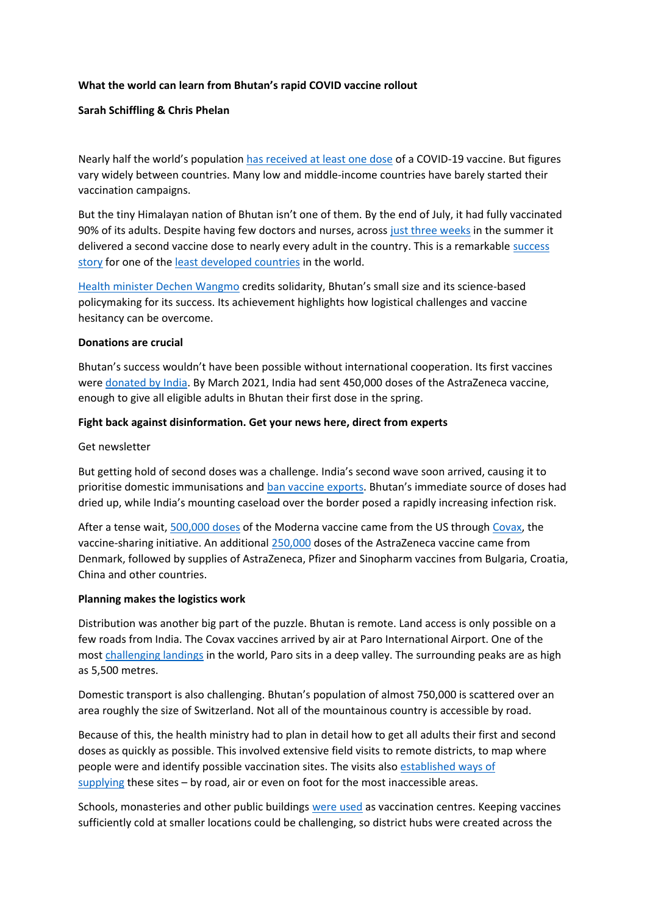# **What the world can learn from Bhutan's rapid COVID vaccine rollout**

# **Sarah Schiffling & Chris Phelan**

Nearly half the world's population [has received at least one dose](https://ourworldindata.org/covid-vaccinations) of a COVID-19 vaccine. But figures vary widely between countries. Many low and middle-income countries have barely started their vaccination campaigns.

But the tiny Himalayan nation of Bhutan isn't one of them. By the end of July, it had fully vaccinated 90% of its adults. Despite having few doctors and nurses, across [just three weeks](https://www.unicef.org.au/blog/stories/covid-vaccine-delivery) in the summer it delivered a second vaccine dose to nearly every adult in the country. This is a remarkable [success](https://www.theguardian.com/world/2021/jul/27/bhutans-rapid-covid-vaccine-rollout-hailed-as-international-success-story)  [story](https://www.theguardian.com/world/2021/jul/27/bhutans-rapid-covid-vaccine-rollout-hailed-as-international-success-story) for one of the [least developed countries](https://unctad.org/topic/least-developed-countries/list) in the world.

[Health minister Dechen Wangmo](https://thediplomat.com/2021/06/bhutans-health-minister-on-navigating-the-pandemic-as-a-small-state/) credits solidarity, Bhutan's small size and its science-based policymaking for its success. Its achievement highlights how logistical challenges and vaccine hesitancy can be overcome.

#### **Donations are crucial**

Bhutan's success wouldn't have been possible without international cooperation. Its first vaccines were [donated by India.](https://www.hindustantimes.com/india-news/bhutan-maldives-first-to-benefit-from-india-s-vaccine-maitri-101611191910201.html) By March 2021, India had sent 450,000 doses of the AstraZeneca vaccine, enough to give all eligible adults in Bhutan their first dose in the spring.

## **Fight back against disinformation. Get your news here, direct from experts**

#### Get newsletter

But getting hold of second doses was a challenge. India's second wave soon arrived, causing it to prioritise domestic immunisations and [ban vaccine exports](https://www.thehindu.com/news/international/hit-by-indias-vaccine-export-ban-bhutan-seeks-help/article35006213.ece). Bhutan's immediate source of doses had dried up, while India's mounting caseload over the border posed a rapidly increasing infection risk.

After a tense wait, [500,000 doses](https://www.unicef.org/bhutan/press-releases/bhutan-receives-500000-doses-covid-19-vaccines-through-covax) of the Moderna vaccine came from the US through [Covax,](https://www.gavi.org/vaccineswork/covax-explained) the vaccine-sharing initiative. An additional [250,000](https://www.southasiamonitor.org/bhutan/bhutan-receive-250000-astrazeneca-vaccines-denmark) doses of the AstraZeneca vaccine came from Denmark, followed by supplies of AstraZeneca, Pfizer and Sinopharm vaccines from Bulgaria, Croatia, China and other countries.

## **Planning makes the logistics work**

Distribution was another big part of the puzzle. Bhutan is remote. Land access is only possible on a few roads from India. The Covax vaccines arrived by air at Paro International Airport. One of the most [challenging landings](https://simpleflying.com/bhutan-paro-airport-exclusivity/) in the world, Paro sits in a deep valley. The surrounding peaks are as high as 5,500 metres.

Domestic transport is also challenging. Bhutan's population of almost 750,000 is scattered over an area roughly the size of Switzerland. Not all of the mountainous country is accessible by road.

Because of this, the health ministry had to plan in detail how to get all adults their first and second doses as quickly as possible. This involved extensive field visits to remote districts, to map where people were and identify possible vaccination sites. The visits also [established ways of](https://news.un.org/en/story/2021/05/1092422)  [supplying](https://news.un.org/en/story/2021/05/1092422) these sites – by road, air or even on foot for the most inaccessible areas.

Schools, monasteries and other public buildings [were used](https://www.gov.bt/covid19/vaccination-distribution-plan-moh/) as vaccination centres. Keeping vaccines sufficiently cold at smaller locations could be challenging, so district hubs were created across the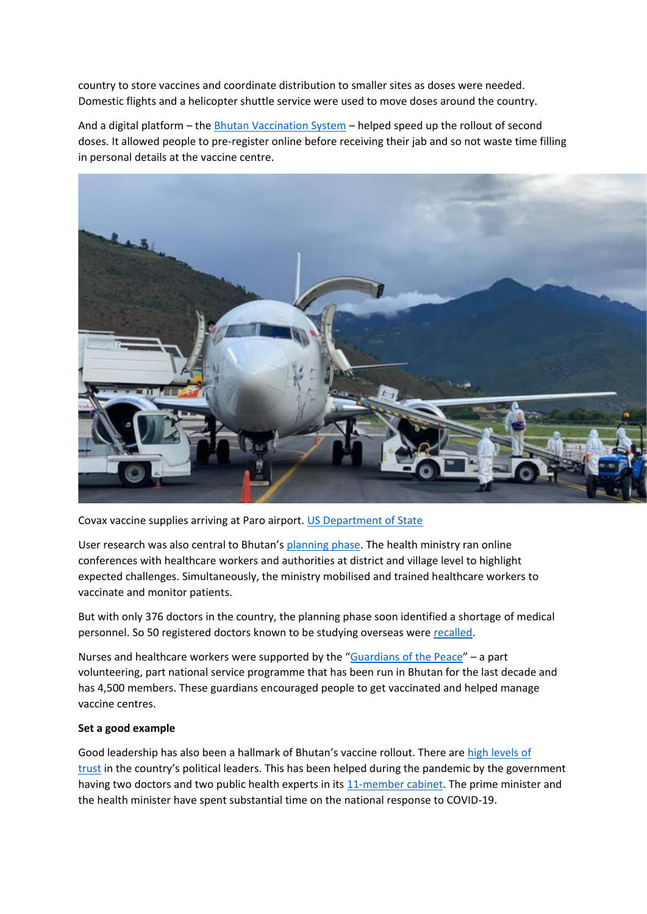country to store vaccines and coordinate distribution to smaller sites as doses were needed. Domestic flights and a helicopter shuttle service were used to move doses around the country.

And a digital platform – the [Bhutan Vaccination System](https://www.asia-pacific.undp.org/content/rbap/en/home/presscenter/pressreleases/2021/a-new-digital-system-drives-bhutan-s-covid-19-vaccination-succes.html) – helped speed up the rollout of second doses. It allowed people to pre-register online before receiving their jab and so not waste time filling in personal details at the vaccine centre.



Covax vaccine supplies arriving at Paro airport. [US Department of State](https://commons.wikimedia.org/wiki/File:The_United_States_Delivers_COVID-19_Vaccine_Doses_to_Bhutan_(51307679170).png)

User research was also central to Bhutan's [planning phase.](https://gh.bmj.com/content/6/5/e005977) The health ministry ran online conferences with healthcare workers and authorities at district and village level to highlight expected challenges. Simultaneously, the ministry mobilised and trained healthcare workers to vaccinate and monitor patients.

But with only 376 doctors in the country, the planning phase soon identified a shortage of medical personnel. So 50 registered doctors known to be studying overseas were [recalled.](http://www.populationmedicine.eu/Recalling-doctors-back-to-Bhutan-for-COVID-19,125913,0,2.html)

Nurses and healthcare workers were supported by the "[Guardians of the Peace](https://desuung.org.bt/)" – a part volunteering, part national service programme that has been run in Bhutan for the last decade and has 4,500 members. These guardians encouraged people to get vaccinated and helped manage vaccine centres.

## **Set a good example**

Good leadership has also been a hallmark of Bhutan's vaccine rollout. There are [high levels of](https://www.theatlantic.com/international/archive/2021/02/coronavirus-pandemic-bhutan/617976/)  [trust](https://www.theatlantic.com/international/archive/2021/02/coronavirus-pandemic-bhutan/617976/) in the country's political leaders. This has been helped during the pandemic by the government having two doctors and two public health experts in its [11-member cabinet.](https://www.cabinet.gov.bt/the-cabinet/) The prime minister and the health minister have spent substantial time on the national response to COVID-19.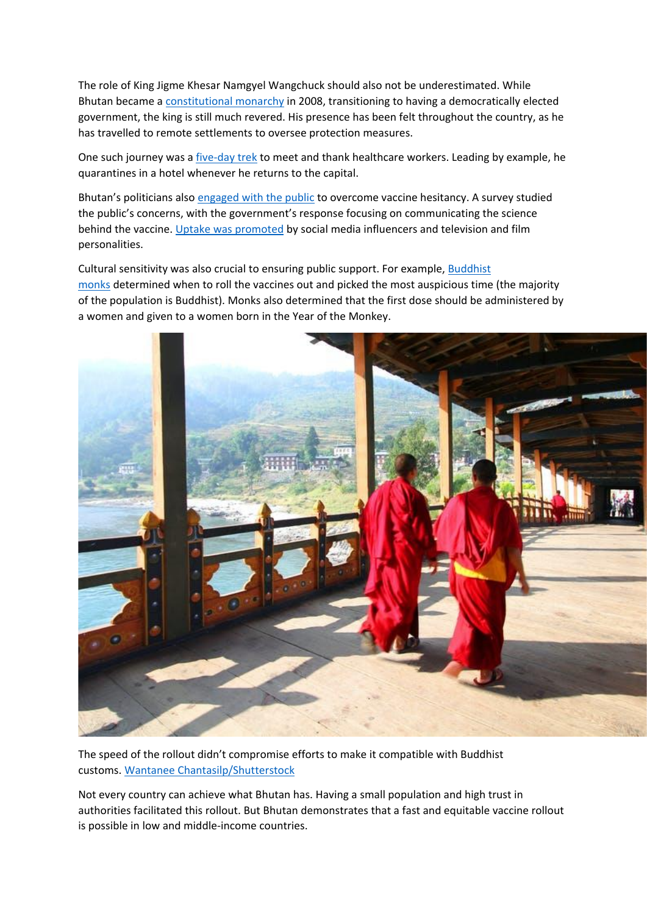The role of King Jigme Khesar Namgyel Wangchuck should also not be underestimated. While Bhutan became a [constitutional monarchy](https://www.britannica.com/topic/constitutional-monarchy) in 2008, transitioning to having a democratically elected government, the king is still much revered. His presence has been felt throughout the country, as he has travelled to remote settlements to oversee protection measures.

One such journey was a [five-day trek](https://www.reuters.com/world/asia-pacific/bhutan-king-treks-across-mountains-hold-down-covid-19-fatality-count-2021-06-25/) to meet and thank healthcare workers. Leading by example, he quarantines in a hotel whenever he returns to the capital.

Bhutan's politicians also [engaged with the public](https://www.ajtmh.org/view/journals/tpmd/104/2/article-p441.xml) to overcome vaccine hesitancy. A survey studied the public's concerns, with the government's response focusing on communicating the science behind the vaccine. [Uptake was promoted](http://www.moh.gov.bt/update-our-gyenkhu-6/) by social media influencers and television and film personalities.

Cultural sensitivity was also crucial to ensuring public support. For example, [Buddhist](https://www.economist.com/graphic-detail/2021/04/08/bhutan-vaccinated-almost-all-its-adults-against-covid-19-in-a-week)  [monks](https://www.economist.com/graphic-detail/2021/04/08/bhutan-vaccinated-almost-all-its-adults-against-covid-19-in-a-week) determined when to roll the vaccines out and picked the most auspicious time (the majority of the population is Buddhist). Monks also determined that the first dose should be administered by a women and given to a women born in the Year of the Monkey.



The speed of the rollout didn't compromise efforts to make it compatible with Buddhist customs. [Wantanee Chantasilp/Shutterstock](https://www.shutterstock.com/image-photo/two-young-monks-walking-on-puna-1099642451)

Not every country can achieve what Bhutan has. Having a small population and high trust in authorities facilitated this rollout. But Bhutan demonstrates that a fast and equitable vaccine rollout is possible in low and middle-income countries.